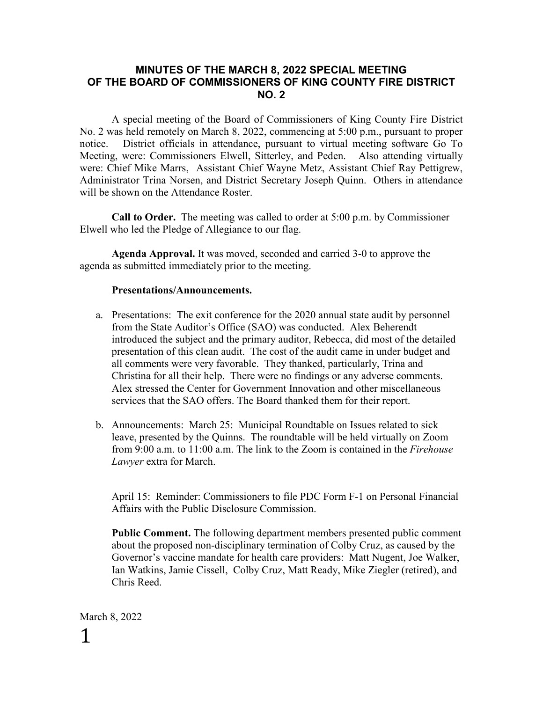## **MINUTES OF THE MARCH 8, 2022 SPECIAL MEETING OF THE BOARD OF COMMISSIONERS OF KING COUNTY FIRE DISTRICT NO. 2**

A special meeting of the Board of Commissioners of King County Fire District No. 2 was held remotely on March 8, 2022, commencing at 5:00 p.m., pursuant to proper notice. District officials in attendance, pursuant to virtual meeting software Go To Meeting, were: Commissioners Elwell, Sitterley, and Peden. Also attending virtually were: Chief Mike Marrs, Assistant Chief Wayne Metz, Assistant Chief Ray Pettigrew, Administrator Trina Norsen, and District Secretary Joseph Quinn. Others in attendance will be shown on the Attendance Roster.

**Call to Order.** The meeting was called to order at 5:00 p.m. by Commissioner Elwell who led the Pledge of Allegiance to our flag.

**Agenda Approval.** It was moved, seconded and carried 3-0 to approve the agenda as submitted immediately prior to the meeting.

## **Presentations/Announcements.**

- a. Presentations: The exit conference for the 2020 annual state audit by personnel from the State Auditor's Office (SAO) was conducted. Alex Beherendt introduced the subject and the primary auditor, Rebecca, did most of the detailed presentation of this clean audit. The cost of the audit came in under budget and all comments were very favorable. They thanked, particularly, Trina and Christina for all their help. There were no findings or any adverse comments. Alex stressed the Center for Government Innovation and other miscellaneous services that the SAO offers. The Board thanked them for their report.
- b. Announcements: March 25: Municipal Roundtable on Issues related to sick leave, presented by the Quinns. The roundtable will be held virtually on Zoom from 9:00 a.m. to 11:00 a.m. The link to the Zoom is contained in the *Firehouse Lawyer* extra for March.

April 15: Reminder: Commissioners to file PDC Form F-1 on Personal Financial Affairs with the Public Disclosure Commission.

**Public Comment.** The following department members presented public comment about the proposed non-disciplinary termination of Colby Cruz, as caused by the Governor's vaccine mandate for health care providers: Matt Nugent, Joe Walker, Ian Watkins, Jamie Cissell, Colby Cruz, Matt Ready, Mike Ziegler (retired), and Chris Reed.

March 8, 2022 1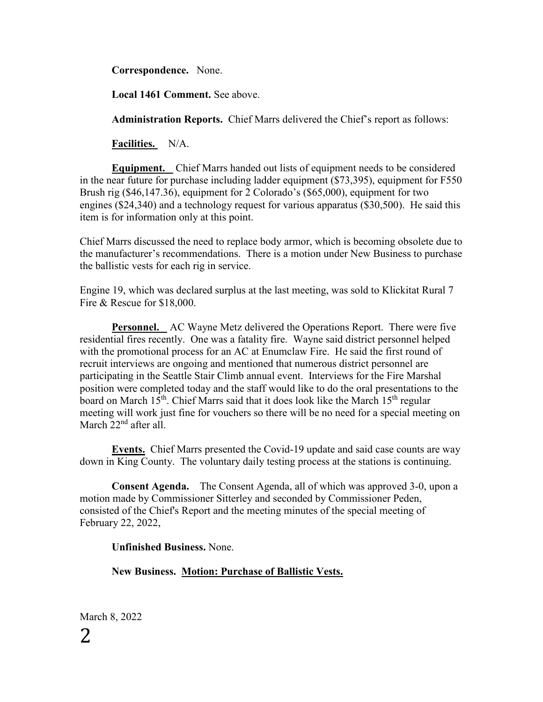**Correspondence.** None.

**Local 1461 Comment.** See above.

**Administration Reports.** Chief Marrs delivered the Chief's report as follows:

**Facilities.** N/A.

**Equipment.** Chief Marrs handed out lists of equipment needs to be considered in the near future for purchase including ladder equipment (\$73,395), equipment for F550 Brush rig (\$46,147.36), equipment for 2 Colorado's (\$65,000), equipment for two engines (\$24,340) and a technology request for various apparatus (\$30,500). He said this item is for information only at this point.

Chief Marrs discussed the need to replace body armor, which is becoming obsolete due to the manufacturer's recommendations. There is a motion under New Business to purchase the ballistic vests for each rig in service.

Engine 19, which was declared surplus at the last meeting, was sold to Klickitat Rural 7 Fire & Rescue for \$18,000.

**Personnel.** AC Wayne Metz delivered the Operations Report. There were five residential fires recently. One was a fatality fire. Wayne said district personnel helped with the promotional process for an AC at Enumclaw Fire. He said the first round of recruit interviews are ongoing and mentioned that numerous district personnel are participating in the Seattle Stair Climb annual event. Interviews for the Fire Marshal position were completed today and the staff would like to do the oral presentations to the board on March  $15^{th}$ . Chief Marrs said that it does look like the March  $15^{th}$  regular meeting will work just fine for vouchers so there will be no need for a special meeting on March 22<sup>nd</sup> after all.

**Events.** Chief Marrs presented the Covid-19 update and said case counts are way down in King County. The voluntary daily testing process at the stations is continuing.

**Consent Agenda.** The Consent Agenda, all of which was approved 3-0, upon a motion made by Commissioner Sitterley and seconded by Commissioner Peden, consisted of the Chief's Report and the meeting minutes of the special meeting of February 22, 2022,

**Unfinished Business.** None.

**New Business. Motion: Purchase of Ballistic Vests.**

March 8, 2022 2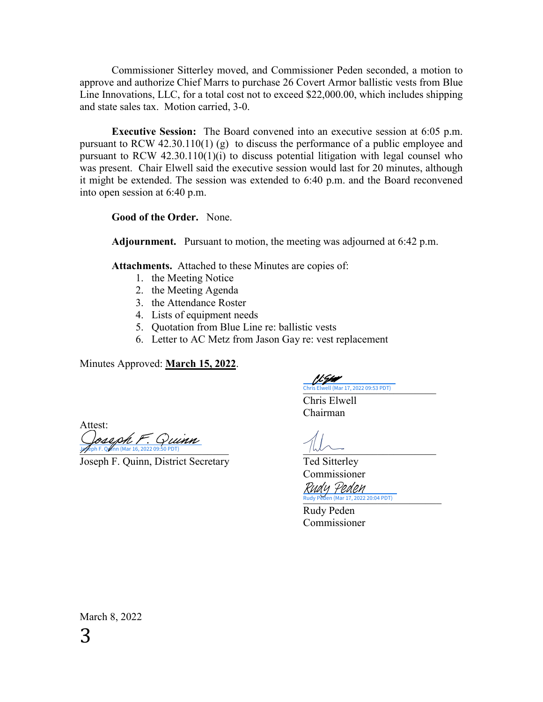Commissioner Sitterley moved, and Commissioner Peden seconded, a motion to approve and authorize Chief Marrs to purchase 26 Covert Armor ballistic vests from Blue Line Innovations, LLC, for a total cost not to exceed \$22,000.00, which includes shipping and state sales tax. Motion carried, 3-0.

**Executive Session:** The Board convened into an executive session at 6:05 p.m. pursuant to RCW 42.30.110(1) (g) to discuss the performance of a public employee and pursuant to RCW 42.30.110(1)(i) to discuss potential litigation with legal counsel who was present. Chair Elwell said the executive session would last for 20 minutes, although it might be extended. The session was extended to 6:40 p.m. and the Board reconvened into open session at 6:40 p.m.

**Good of the Order.** None.

**Adjournment.** Pursuant to motion, the meeting was adjourned at 6:42 p.m.

**Attachments.** Attached to these Minutes are copies of:

- 1. the Meeting Notice
- 2. the Meeting Agenda
- 3. the Attendance Roster
- 4. Lists of equipment needs
- 5. Quotation from Blue Line re: ballistic vests
- 6. Letter to AC Metz from Jason Gay re: vest replacement

Minutes Approved: **March 15, 2022**.

[\\_\\_\\_\\_\\_\\_\\_\\_\\_\\_\\_\\_\\_\\_\\_\\_\\_\\_\\_\\_\\_\\_\\_\\_\\_](https://na4.documents.adobe.com/verifier?tx=CBJCHBCAABAAlqXgPLO2ym9R-Dr3mwPTF7-jJOfPtima) Chris Elwell (Mar 17, 2022 09:53 PDT)

Chris Elwell Chairman

Attest:  $\frac{1}{\sqrt{2}}$ ph F. Q  $\frac{1}{\sqrt{2}}$  (Mar 16, 2022 09:50 PDT) [Joseph F. Quinn](https://na4.documents.adobe.com/verifier?tx=CBJCHBCAABAAlqXgPLO2ym9R-Dr3mwPTF7-jJOfPtima)

Joseph F. Quinn, District Secretary Ted Sitterley

Commissioner

Rudy Peden (Mar 17, 2022 20:04 PDT) Rudy Peden

Rudy Peden Commissioner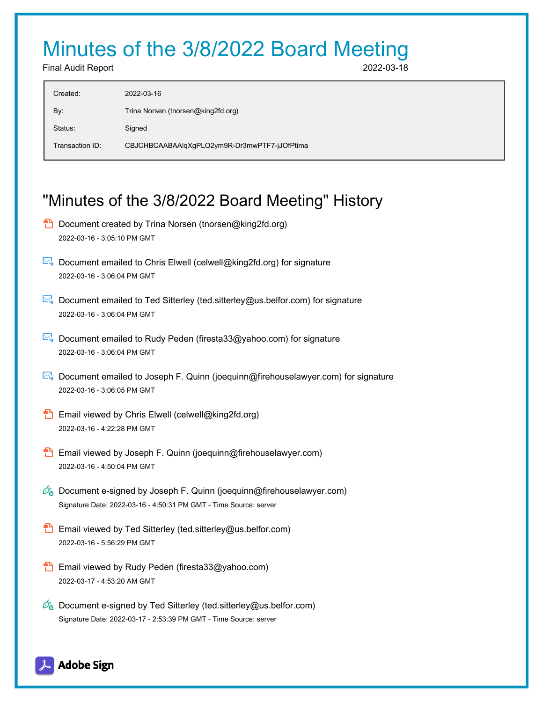## Minutes of the 3/8/2022 Board Meeting

Final Audit Report 2022-03-18

| Created:        | 2022-03-16                                   |
|-----------------|----------------------------------------------|
| By:             | Trina Norsen (tnorsen@king2fd.org)           |
| Status:         | Signed                                       |
| Transaction ID: | CBJCHBCAABAAIqXgPLO2ym9R-Dr3mwPTF7-jJOfPtima |
|                 |                                              |

## "Minutes of the 3/8/2022 Board Meeting" History

- **D** Document created by Trina Norsen (tnorsen@king2fd.org) 2022-03-16 - 3:05:10 PM GMT
- Document emailed to Chris Elwell (celwell@king2fd.org) for signature 2022-03-16 - 3:06:04 PM GMT
- Document emailed to Ted Sitterley (ted.sitterley@us.belfor.com) for signature 2022-03-16 - 3:06:04 PM GMT
- Document emailed to Rudy Peden (firesta33@yahoo.com) for signature 2022-03-16 - 3:06:04 PM GMT
- Document emailed to Joseph F. Quinn (joequinn@firehouselawyer.com) for signature 2022-03-16 - 3:06:05 PM GMT
- **Email viewed by Chris Elwell (celwell@king2fd.org)** 2022-03-16 - 4:22:28 PM GMT
- **Email viewed by Joseph F. Quinn (joequinn@firehouselawyer.com)** 2022-03-16 - 4:50:04 PM GMT
- $\mathscr{O}_\bullet$  Document e-signed by Joseph F. Quinn (joequinn@firehouselawyer.com) Signature Date: 2022-03-16 - 4:50:31 PM GMT - Time Source: server
- **Email viewed by Ted Sitterley (ted.sitterley@us.belfor.com)** 2022-03-16 - 5:56:29 PM GMT
- **Email viewed by Rudy Peden (firesta33@yahoo.com)** 2022-03-17 - 4:53:20 AM GMT
- $\mathscr{D}_{\bullet}$  Document e-signed by Ted Sitterley (ted.sitterley@us.belfor.com) Signature Date: 2022-03-17 - 2:53:39 PM GMT - Time Source: server